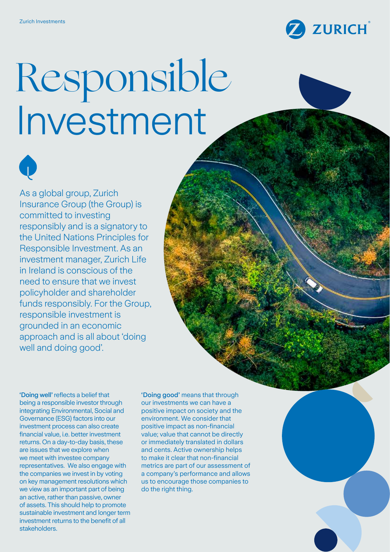

# Responsible Investment



As a global group, Zurich Insurance Group (the Group) is committed to investing responsibly and is a signatory to the United Nations Principles for Responsible Investment. As an investment manager, Zurich Life in Ireland is conscious of the need to ensure that we invest policyholder and shareholder funds responsibly. For the Group, responsible investment is grounded in an economic approach and is all about 'doing well and doing good'.

'Doing well' reflects a belief that being a responsible investor through integrating Environmental, Social and Governance (ESG) factors into our investment process can also create financial value, i.e. better investment returns. On a day-to-day basis, these are issues that we explore when we meet with investee company representatives. We also engage with the companies we invest in by voting on key management resolutions which we view as an important part of being an active, rather than passive, owner of assets. This should help to promote sustainable investment and longer term investment returns to the benefit of all stakeholders.

'Doing good' means that through our investments we can have a positive impact on society and the environment. We consider that positive impact as non-financial value; value that cannot be directly or immediately translated in dollars and cents. Active ownership helps to make it clear that non-financial metrics are part of our assessment of a company's performance and allows us to encourage those companies to do the right thing.